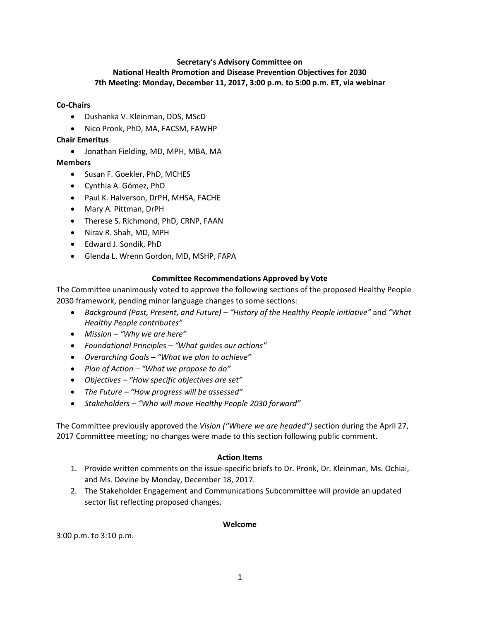## **Secretary's Advisory Committee on National Health Promotion and Disease Prevention Objectives for 2030 7th Meeting: Monday, December 11, 2017, 3:00 p.m. to 5:00 p.m. ET, via webinar**

## **Co-Chairs**

- Dushanka V. Kleinman, DDS, MScD
- Nico Pronk, PhD, MA, FACSM, FAWHP

## **Chair Emeritus**

• Jonathan Fielding, MD, MPH, MBA, MA

## **Members**

- Susan F. Goekler, PhD, MCHES
- Cynthia A. Gómez, PhD
- Paul K. Halverson, DrPH, MHSA, FACHE
- Mary A. Pittman, DrPH
- Therese S. Richmond, PhD, CRNP, FAAN
- Nirav R. Shah, MD, MPH
- Edward J. Sondik, PhD
- Glenda L. Wrenn Gordon, MD, MSHP, FAPA

### **Committee Recommendations Approved by Vote**

The Committee unanimously voted to approve the following sections of the proposed Healthy People 2030 framework, pending minor language changes to some sections:

- *Background (Past, Present, and Future) "History of the Healthy People initiative"* and *"What Healthy People contributes"*
- *Mission – "Why we are here"*
- *Foundational Principles – "What guides our actions"*
- *Overarching Goals – "What we plan to achieve"*
- *Plan of Action – "What we propose to do"*
- *Objectives – "How specific objectives are set"*
- *The Future – "How progress will be assessed"*
- *Stakeholders – "Who will move Healthy People 2030 forward"*

The Committee previously approved the *Vision ("Where we are headed")* section during the April 27, 2017 Committee meeting; no changes were made to this section following public comment.

#### **Action Items**

- 1. Provide written comments on the issue-specific briefs to Dr. Pronk, Dr. Kleinman, Ms. Ochiai, and Ms. Devine by Monday, December 18, 2017.
- 2. The Stakeholder Engagement and Communications Subcommittee will provide an updated sector list reflecting proposed changes.

### **Welcome**

3:00 p.m. to 3:10 p.m.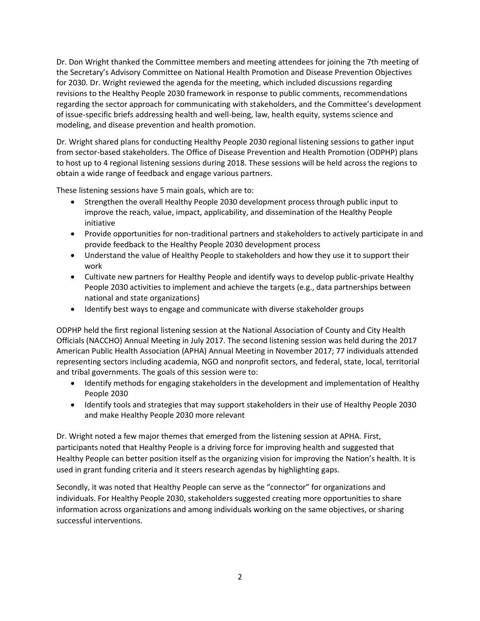Dr. Don Wright thanked the Committee members and meeting attendees for joining the 7th meeting of the Secretary's Advisory Committee on National Health Promotion and Disease Prevention Objectives for 2030. Dr. Wright reviewed the agenda for the meeting, which included discussions regarding revisions to the Healthy People 2030 framework in response to public comments, recommendations regarding the sector approach for communicating with stakeholders, and the Committee's development of issue-specific briefs addressing health and well-being, law, health equity, systems science and modeling, and disease prevention and health promotion.

Dr. Wright shared plans for conducting Healthy People 2030 regional listening sessions to gather input from sector-based stakeholders. The Office of Disease Prevention and Health Promotion (ODPHP) plans to host up to 4 regional listening sessions during 2018. These sessions will be held across the regions to obtain a wide range of feedback and engage various partners.

These listening sessions have 5 main goals, which are to:

- Strengthen the overall Healthy People 2030 development process through public input to improve the reach, value, impact, applicability, and dissemination of the Healthy People initiative
- Provide opportunities for non-traditional partners and stakeholders to actively participate in and provide feedback to the Healthy People 2030 development process
- Understand the value of Healthy People to stakeholders and how they use it to support their work
- Cultivate new partners for Healthy People and identify ways to develop public-private Healthy People 2030 activities to implement and achieve the targets (e.g., data partnerships between national and state organizations)
- Identify best ways to engage and communicate with diverse stakeholder groups

ODPHP held the first regional listening session at the National Association of County and City Health Officials (NACCHO) Annual Meeting in July 2017. The second listening session was held during the 2017 American Public Health Association (APHA) Annual Meeting in November 2017; 77 individuals attended representing sectors including academia, NGO and nonprofit sectors, and federal, state, local, territorial and tribal governments. The goals of this session were to:

- Identify methods for engaging stakeholders in the development and implementation of Healthy People 2030
- Identify tools and strategies that may support stakeholders in their use of Healthy People 2030 and make Healthy People 2030 more relevant

Dr. Wright noted a few major themes that emerged from the listening session at APHA. First, participants noted that Healthy People is a driving force for improving health and suggested that Healthy People can better position itself as the organizing vision for improving the Nation's health. It is used in grant funding criteria and it steers research agendas by highlighting gaps.

Secondly, it was noted that Healthy People can serve as the "connector" for organizations and individuals. For Healthy People 2030, stakeholders suggested creating more opportunities to share information across organizations and among individuals working on the same objectives, or sharing successful interventions.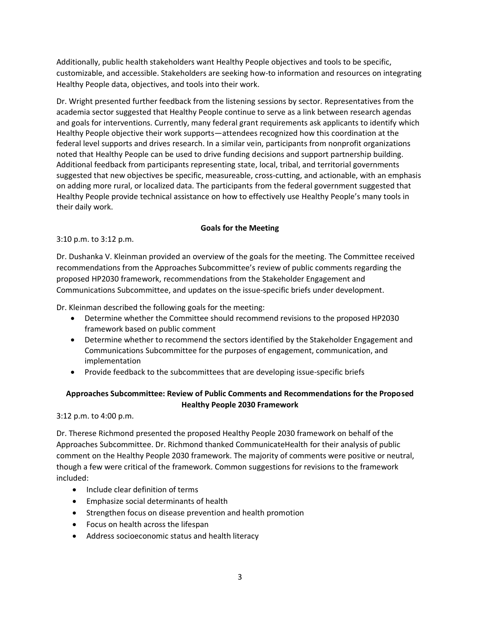Additionally, public health stakeholders want Healthy People objectives and tools to be specific, customizable, and accessible. Stakeholders are seeking how-to information and resources on integrating Healthy People data, objectives, and tools into their work.

Dr. Wright presented further feedback from the listening sessions by sector. Representatives from the academia sector suggested that Healthy People continue to serve as a link between research agendas and goals for interventions. Currently, many federal grant requirements ask applicants to identify which Healthy People objective their work supports—attendees recognized how this coordination at the federal level supports and drives research. In a similar vein, participants from nonprofit organizations noted that Healthy People can be used to drive funding decisions and support partnership building. Additional feedback from participants representing state, local, tribal, and territorial governments suggested that new objectives be specific, measureable, cross-cutting, and actionable, with an emphasis on adding more rural, or localized data. The participants from the federal government suggested that Healthy People provide technical assistance on how to effectively use Healthy People's many tools in their daily work.

### **Goals for the Meeting**

3:10 p.m. to 3:12 p.m.

Dr. Dushanka V. Kleinman provided an overview of the goals for the meeting. The Committee received recommendations from the Approaches Subcommittee's review of public comments regarding the proposed HP2030 framework, recommendations from the Stakeholder Engagement and Communications Subcommittee, and updates on the issue-specific briefs under development.

Dr. Kleinman described the following goals for the meeting:

- Determine whether the Committee should recommend revisions to the proposed HP2030 framework based on public comment
- Determine whether to recommend the sectors identified by the Stakeholder Engagement and Communications Subcommittee for the purposes of engagement, communication, and implementation
- Provide feedback to the subcommittees that are developing issue-specific briefs

# **Approaches Subcommittee: Review of Public Comments and Recommendations for the Proposed Healthy People 2030 Framework**

3:12 p.m. to 4:00 p.m.

Dr. Therese Richmond presented the proposed Healthy People 2030 framework on behalf of the Approaches Subcommittee. Dr. Richmond thanked CommunicateHealth for their analysis of public comment on the Healthy People 2030 framework. The majority of comments were positive or neutral, though a few were critical of the framework. Common suggestions for revisions to the framework included:

- Include clear definition of terms
- Emphasize social determinants of health
- Strengthen focus on disease prevention and health promotion
- Focus on health across the lifespan
- Address socioeconomic status and health literacy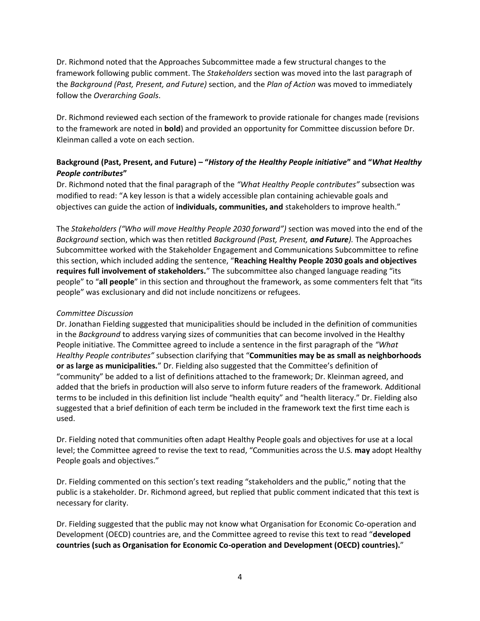Dr. Richmond noted that the Approaches Subcommittee made a few structural changes to the framework following public comment. The *Stakeholders* section was moved into the last paragraph of the *Background (Past, Present, and Future)* section, and the *Plan of Action* was moved to immediately follow the *Overarching Goals*.

Dr. Richmond reviewed each section of the framework to provide rationale for changes made (revisions to the framework are noted in **bold**) and provided an opportunity for Committee discussion before Dr. Kleinman called a vote on each section.

# **Background (Past, Present, and Future) – "***History of the Healthy People initiative***" and "***What Healthy People contributes***"**

Dr. Richmond noted that the final paragraph of the *"What Healthy People contributes"* subsection was modified to read: "A key lesson is that a widely accessible plan containing achievable goals and objectives can guide the action of **individuals, communities, and** stakeholders to improve health."

The *Stakeholders ("Who will move Healthy People 2030 forward")* section was moved into the end of the *Background* section, which was then retitled *Background (Past, Present, and Future).* The Approaches Subcommittee worked with the Stakeholder Engagement and Communications Subcommittee to refine this section, which included adding the sentence, "**Reaching Healthy People 2030 goals and objectives requires full involvement of stakeholders.**" The subcommittee also changed language reading "its people" to "**all people**" in this section and throughout the framework, as some commenters felt that "its people" was exclusionary and did not include noncitizens or refugees.

## *Committee Discussion*

Dr. Jonathan Fielding suggested that municipalities should be included in the definition of communities in the *Background* to address varying sizes of communities that can become involved in the Healthy People initiative. The Committee agreed to include a sentence in the first paragraph of the *"What Healthy People contributes"* subsection clarifying that "**Communities may be as small as neighborhoods or as large as municipalities.**" Dr. Fielding also suggested that the Committee's definition of "community" be added to a list of definitions attached to the framework; Dr. Kleinman agreed, and added that the briefs in production will also serve to inform future readers of the framework. Additional terms to be included in this definition list include "health equity" and "health literacy." Dr. Fielding also suggested that a brief definition of each term be included in the framework text the first time each is used.

Dr. Fielding noted that communities often adapt Healthy People goals and objectives for use at a local level; the Committee agreed to revise the text to read, "Communities across the U.S. **may** adopt Healthy People goals and objectives."

Dr. Fielding commented on this section's text reading "stakeholders and the public," noting that the public is a stakeholder. Dr. Richmond agreed, but replied that public comment indicated that this text is necessary for clarity.

Dr. Fielding suggested that the public may not know what Organisation for Economic Co-operation and Development (OECD) countries are, and the Committee agreed to revise this text to read "**developed countries (such as Organisation for Economic Co-operation and Development (OECD) countries).**"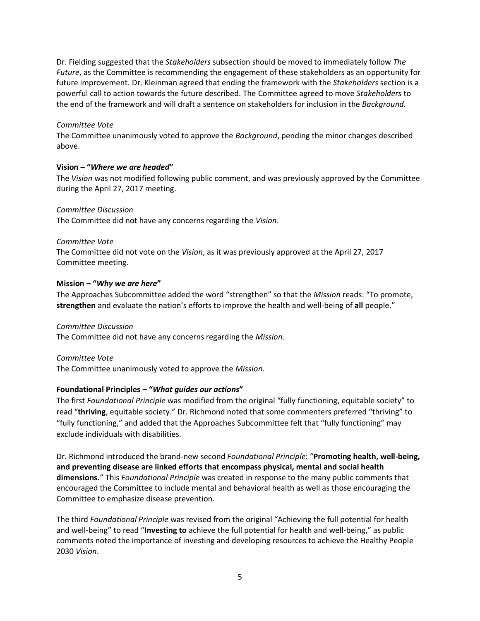Dr. Fielding suggested that the *Stakeholders* subsection should be moved to immediately follow *The Future*, as the Committee is recommending the engagement of these stakeholders as an opportunity for future improvement. Dr. Kleinman agreed that ending the framework with the *Stakeholders* section is a powerful call to action towards the future described. The Committee agreed to move *Stakeholders* to the end of the framework and will draft a sentence on stakeholders for inclusion in the *Background.*

#### *Committee Vote*

The Committee unanimously voted to approve the *Background*, pending the minor changes described above.

### **Vision – "***Where we are headed***"**

The *Vision* was not modified following public comment, and was previously approved by the Committee during the April 27, 2017 meeting.

*Committee Discussion* The Committee did not have any concerns regarding the *Vision*.

### *Committee Vote*

The Committee did not vote on the *Vision*, as it was previously approved at the April 27, 2017 Committee meeting.

#### **Mission – "***Why we are here***"**

The Approaches Subcommittee added the word "strengthen" so that the *Mission* reads: "To promote, **strengthen** and evaluate the nation's efforts to improve the health and well-being of **all** people."

#### *Committee Discussion*

The Committee did not have any concerns regarding the *Mission*.

*Committee Vote*

The Committee unanimously voted to approve the *Mission*.

### **Foundational Principles – "***What guides our actions***"**

The first *Foundational Principle* was modified from the original "fully functioning, equitable society" to read "**thriving**, equitable society." Dr. Richmond noted that some commenters preferred "thriving" to "fully functioning," and added that the Approaches Subcommittee felt that "fully functioning" may exclude individuals with disabilities.

Dr. Richmond introduced the brand-new second *Foundational Principle*: "**Promoting health, well-being, and preventing disease are linked efforts that encompass physical, mental and social health dimensions.**" This *Foundational Principle* was created in response to the many public comments that encouraged the Committee to include mental and behavioral health as well as those encouraging the Committee to emphasize disease prevention.

The third *Foundational Principle* was revised from the original "Achieving the full potential for health and well-being" to read "**Investing to** achieve the full potential for health and well-being," as public comments noted the importance of investing and developing resources to achieve the Healthy People 2030 *Vision*.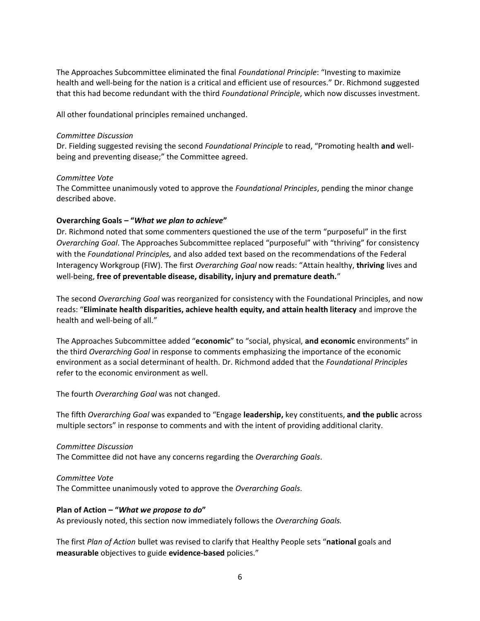The Approaches Subcommittee eliminated the final *Foundational Principle*: "Investing to maximize health and well-being for the nation is a critical and efficient use of resources." Dr. Richmond suggested that this had become redundant with the third *Foundational Principle*, which now discusses investment.

All other foundational principles remained unchanged.

#### *Committee Discussion*

Dr. Fielding suggested revising the second *Foundational Principle* to read, "Promoting health **and** wellbeing and preventing disease;" the Committee agreed.

#### *Committee Vote*

The Committee unanimously voted to approve the *Foundational Principles*, pending the minor change described above.

### **Overarching Goals – "***What we plan to achieve***"**

Dr. Richmond noted that some commenters questioned the use of the term "purposeful" in the first *Overarching Goal*. The Approaches Subcommittee replaced "purposeful" with "thriving" for consistency with the *Foundational Principles,* and also added text based on the recommendations of the Federal Interagency Workgroup (FIW). The first *Overarching Goal* now reads: "Attain healthy, **thriving** lives and well-being, **free of preventable disease, disability, injury and premature death.**"

The second *Overarching Goal* was reorganized for consistency with the Foundational Principles, and now reads: "**Eliminate health disparities, achieve health equity, and attain health literacy** and improve the health and well-being of all."

The Approaches Subcommittee added "**economic**" to "social, physical, **and economic** environments" in the third *Overarching Goal* in response to comments emphasizing the importance of the economic environment as a social determinant of health. Dr. Richmond added that the *Foundational Principles* refer to the economic environment as well.

The fourth *Overarching Goal* was not changed.

The fifth *Overarching Goal* was expanded to "Engage **leadership,** key constituents, **and the public** across multiple sectors" in response to comments and with the intent of providing additional clarity.

#### *Committee Discussion*

The Committee did not have any concerns regarding the *Overarching Goals*.

*Committee Vote* The Committee unanimously voted to approve the *Overarching Goals*.

#### **Plan of Action – "***What we propose to do***"**

As previously noted, this section now immediately follows the *Overarching Goals.*

The first *Plan of Action* bullet was revised to clarify that Healthy People sets "**national** goals and **measurable** objectives to guide **evidence-based** policies."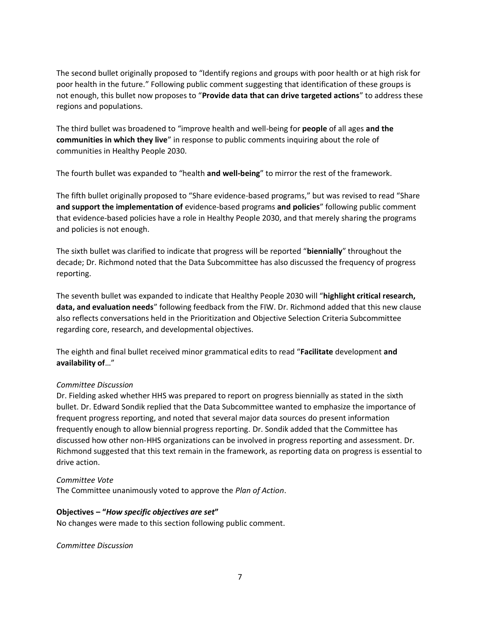The second bullet originally proposed to "Identify regions and groups with poor health or at high risk for poor health in the future." Following public comment suggesting that identification of these groups is not enough, this bullet now proposes to "**Provide data that can drive targeted actions**" to address these regions and populations.

The third bullet was broadened to "improve health and well-being for **people** of all ages **and the communities in which they live**" in response to public comments inquiring about the role of communities in Healthy People 2030.

The fourth bullet was expanded to "health **and well-being**" to mirror the rest of the framework.

The fifth bullet originally proposed to "Share evidence-based programs," but was revised to read "Share **and support the implementation of** evidence-based programs **and policies**" following public comment that evidence-based policies have a role in Healthy People 2030, and that merely sharing the programs and policies is not enough.

The sixth bullet was clarified to indicate that progress will be reported "**biennially**" throughout the decade; Dr. Richmond noted that the Data Subcommittee has also discussed the frequency of progress reporting.

The seventh bullet was expanded to indicate that Healthy People 2030 will "**highlight critical research, data, and evaluation needs**" following feedback from the FIW. Dr. Richmond added that this new clause also reflects conversations held in the Prioritization and Objective Selection Criteria Subcommittee regarding core, research, and developmental objectives.

The eighth and final bullet received minor grammatical edits to read "**Facilitate** development **and availability of**…"

### *Committee Discussion*

Dr. Fielding asked whether HHS was prepared to report on progress biennially as stated in the sixth bullet. Dr. Edward Sondik replied that the Data Subcommittee wanted to emphasize the importance of frequent progress reporting, and noted that several major data sources do present information frequently enough to allow biennial progress reporting. Dr. Sondik added that the Committee has discussed how other non-HHS organizations can be involved in progress reporting and assessment. Dr. Richmond suggested that this text remain in the framework, as reporting data on progress is essential to drive action.

#### *Committee Vote*

The Committee unanimously voted to approve the *Plan of Action*.

#### **Objectives – "***How specific objectives are set***"**

No changes were made to this section following public comment.

*Committee Discussion*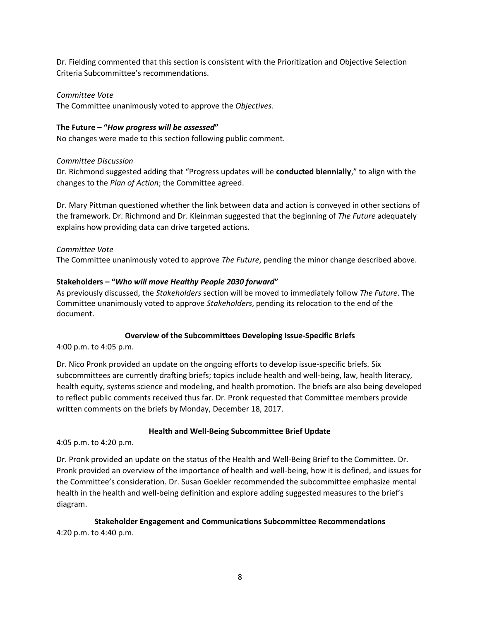Dr. Fielding commented that this section is consistent with the Prioritization and Objective Selection Criteria Subcommittee's recommendations.

## *Committee Vote*

The Committee unanimously voted to approve the *Objectives*.

## **The Future – "***How progress will be assessed***"**

No changes were made to this section following public comment.

### *Committee Discussion*

Dr. Richmond suggested adding that "Progress updates will be **conducted biennially**," to align with the changes to the *Plan of Action*; the Committee agreed.

Dr. Mary Pittman questioned whether the link between data and action is conveyed in other sections of the framework. Dr. Richmond and Dr. Kleinman suggested that the beginning of *The Future* adequately explains how providing data can drive targeted actions.

### *Committee Vote*

The Committee unanimously voted to approve *The Future*, pending the minor change described above.

## **Stakeholders – "***Who will move Healthy People 2030 forward***"**

As previously discussed, the *Stakeholders* section will be moved to immediately follow *The Future*. The Committee unanimously voted to approve *Stakeholders*, pending its relocation to the end of the document.

# **Overview of the Subcommittees Developing Issue-Specific Briefs**

4:00 p.m. to 4:05 p.m.

Dr. Nico Pronk provided an update on the ongoing efforts to develop issue-specific briefs. Six subcommittees are currently drafting briefs; topics include health and well-being, law, health literacy, health equity, systems science and modeling, and health promotion. The briefs are also being developed to reflect public comments received thus far. Dr. Pronk requested that Committee members provide written comments on the briefs by Monday, December 18, 2017.

### **Health and Well-Being Subcommittee Brief Update**

4:05 p.m. to 4:20 p.m.

Dr. Pronk provided an update on the status of the Health and Well-Being Brief to the Committee. Dr. Pronk provided an overview of the importance of health and well-being, how it is defined, and issues for the Committee's consideration. Dr. Susan Goekler recommended the subcommittee emphasize mental health in the health and well-being definition and explore adding suggested measures to the brief's diagram.

**Stakeholder Engagement and Communications Subcommittee Recommendations** 4:20 p.m. to 4:40 p.m.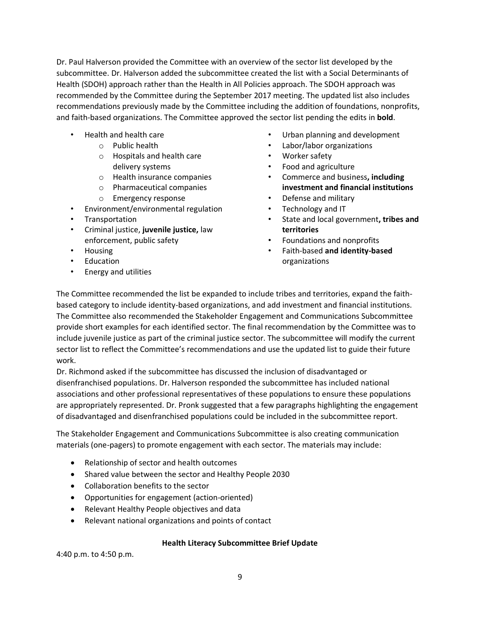Dr. Paul Halverson provided the Committee with an overview of the sector list developed by the subcommittee. Dr. Halverson added the subcommittee created the list with a Social Determinants of Health (SDOH) approach rather than the Health in All Policies approach. The SDOH approach was recommended by the Committee during the September 2017 meeting. The updated list also includes recommendations previously made by the Committee including the addition of foundations, nonprofits, and faith-based organizations. The Committee approved the sector list pending the edits in **bold**.

- Health and health care
	- o Public health
	- o Hospitals and health care delivery systems
	- o Health insurance companies
	- o Pharmaceutical companies
	- o Emergency response
- Environment/environmental regulation
- **Transportation**
- Criminal justice, **juvenile justice,** law enforcement, public safety
- Housing
- Education
- Energy and utilities
- Urban planning and development
- Labor/labor organizations
- Worker safety
- Food and agriculture
- Commerce and business**, including investment and financial institutions**
- Defense and military
- Technology and IT
- State and local government**, tribes and territories**
- Foundations and nonprofits
- Faith-based **and identity-based** organizations

The Committee recommended the list be expanded to include tribes and territories, expand the faithbased category to include identity-based organizations, and add investment and financial institutions. The Committee also recommended the Stakeholder Engagement and Communications Subcommittee provide short examples for each identified sector. The final recommendation by the Committee was to include juvenile justice as part of the criminal justice sector. The subcommittee will modify the current sector list to reflect the Committee's recommendations and use the updated list to guide their future work.

Dr. Richmond asked if the subcommittee has discussed the inclusion of disadvantaged or disenfranchised populations. Dr. Halverson responded the subcommittee has included national associations and other professional representatives of these populations to ensure these populations are appropriately represented. Dr. Pronk suggested that a few paragraphs highlighting the engagement of disadvantaged and disenfranchised populations could be included in the subcommittee report.

The Stakeholder Engagement and Communications Subcommittee is also creating communication materials (one-pagers) to promote engagement with each sector. The materials may include:

- Relationship of sector and health outcomes
- Shared value between the sector and Healthy People 2030
- Collaboration benefits to the sector
- Opportunities for engagement (action-oriented)
- Relevant Healthy People objectives and data
- Relevant national organizations and points of contact

### **Health Literacy Subcommittee Brief Update**

4:40 p.m. to 4:50 p.m.